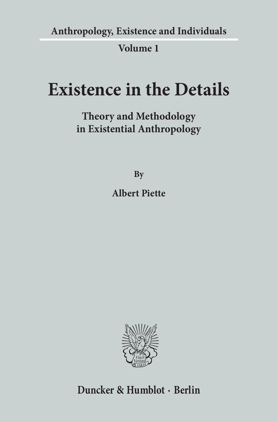**Anthropology, Existence and Individuals**

## **Volume 1**

# **Existence in the Details**

**Theory and Methodology in Existential Anthropology**

**By**

**Albert Piette**



## **Duncker & Humblot · Berlin**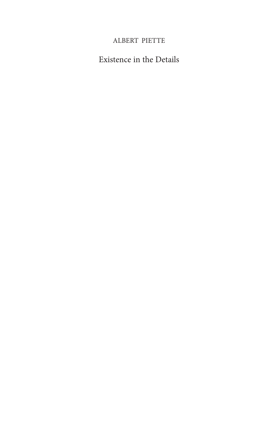### ALBERT PIETTE

Existence in the Details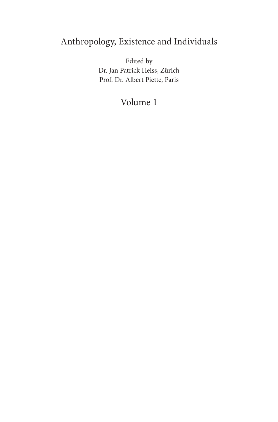## Anthropology, Existence and Individuals

Edited by Dr. Jan Patrick Heiss, Zürich Prof. Dr. Albert Piette, Paris

## Volume 1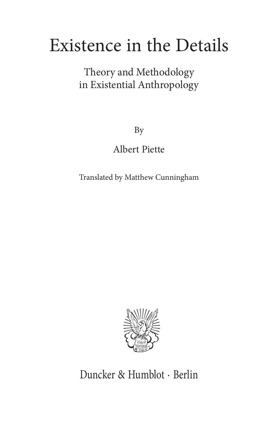# Existence in the Details

Theory and Methodology in Existential Anthropology

By

Albert Piette

Translated by Matthew Cunningham



Duncker & Humblot · Berlin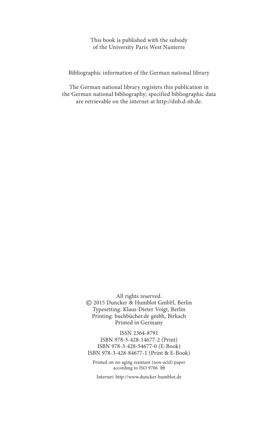This book is published with the subsidy of the University Paris West Nanterre

Bibliographic information of the German national library

The German national library registers this publication in the German national bibliography; specified bibliographic data are retrievable on the internet at http://dnb.d-nb.de.

> All rights reserved. © 2015 Duncker & Humblot GmbH, Berlin Typesetting: Klaus-Dieter Voigt, Berlin Printing: buchbücher.de gmbh, Birkach Printed in Germany

ISSN 2364-8791 ISBN 978-3-428-14677-2 (Print) ISBN 978-3-428-54677-0 (E-Book) ISBN 978-3-428-84677-1 (Print & E-Book)

Printed on no aging resistant (non-acid) paper according to ISO 9706  $\otimes$ 

Internet: http://www.duncker-humblot.de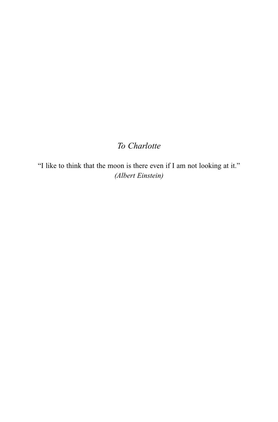## *To Charlotte*

"I like to think that the moon is there even if I am not looking at it." *(Albert Einstein)*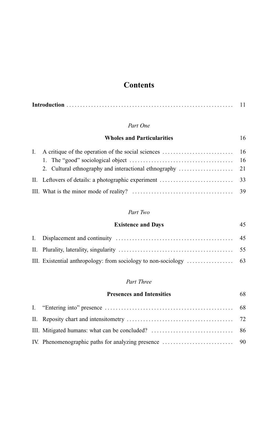## **Contents**

|--|--|--|

#### *Part One*

#### **Wholes and Particularities** 16

#### *Part Two*

| <b>Existence and Days</b>                                                                   | 45 |
|---------------------------------------------------------------------------------------------|----|
|                                                                                             |    |
|                                                                                             |    |
| III. Existential anthropology: from sociology to non-sociology $\dots \dots \dots \dots$ 63 |    |

#### *Part Three*

| <b>Presences and Intensities</b> | 68 |
|----------------------------------|----|
|                                  |    |
|                                  |    |
|                                  |    |
|                                  |    |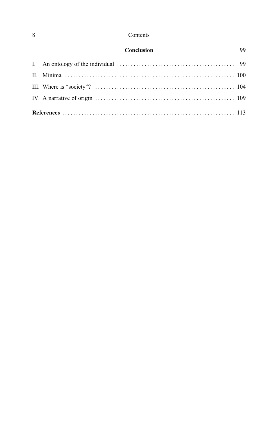#### Contents

| Conclusion | 99 |
|------------|----|
|            |    |
|            |    |
|            |    |
|            |    |
|            |    |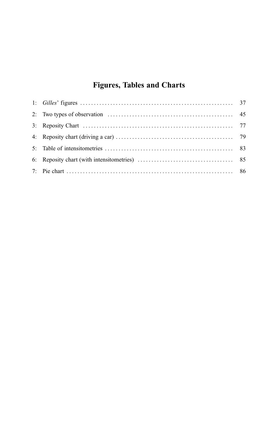## **Figures, Tables and Charts**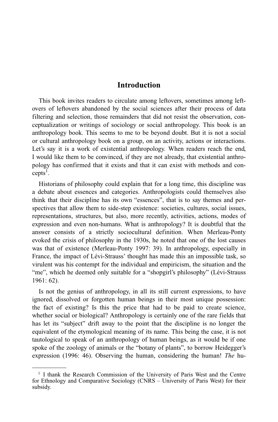### **Introduction**

This book invites readers to circulate among leftovers, sometimes among leftovers of leftovers abandoned by the social sciences after their process of data filtering and selection, those remainders that did not resist the observation, conceptualization or writings of sociology or social anthropology. This book is an anthropology book. This seems to me to be beyond doubt. But it is not a social or cultural anthropology book on a group, on an activity, actions or interactions. Let's say it is a work of existential anthropology. When readers reach the end, I would like them to be convinced, if they are not already, that existential anthropology has confirmed that it exists and that it can exist with methods and con $cepts<sup>1</sup>$ .

Historians of philosophy could explain that for a long time, this discipline was a debate about essences and categories. Anthropologists could themselves also think that their discipline has its own "essences", that is to say themes and perspectives that allow them to side-step existence: societies, cultures, social issues, representations, structures, but also, more recently, activities, actions, modes of expression and even non-humans. What is anthropology? It is doubtful that the answer consists of a strictly sociocultural definition. When Merleau-Ponty evoked the crisis of philosophy in the 1930s, he noted that one of the lost causes was that of existence (Merleau-Ponty 1997: 39). In anthropology, especially in France, the impact of Lévi-Strauss' thought has made this an impossible task, so virulent was his contempt for the individual and empiricism, the situation and the "me", which he deemed only suitable for a "shopgirl's philosophy" (Lévi-Strauss 1961: 62).

Is not the genius of anthropology, in all its still current expressions, to have ignored, dissolved or forgotten human beings in their most unique possession: the fact of existing? Is this the price that had to be paid to create science, whether social or biological? Anthropology is certainly one of the rare fields that has let its "subject" drift away to the point that the discipline is no longer the equivalent of the etymological meaning of its name. This being the case, it is not tautological to speak of an anthropology of human beings, as it would be if one spoke of the zoology of animals or the "botany of plants", to borrow Heidegger's expression (1996: 46). Observing the human, considering the human! *The* hu-

<sup>1</sup> I thank the Research Commission of the University of Paris West and the Centre for Ethnology and Comparative Sociology (CNRS – University of Paris West) for their subsidy.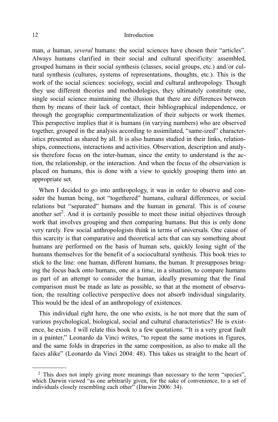#### 12 Introduction

man, *a* human, *several* humans: the social sciences have chosen their "articles". Always humans clarified in their social and cultural specificity: assembled, grouped humans in their social synthesis (classes, social groups, etc.) and/or cultural synthesis (cultures, systems of representations, thoughts, etc.). This is the work of the social sciences: sociology, social and cultural anthropology. Though they use different theories and methodologies, they ultimately constitute one, single social science maintaining the illusion that there are differences between them by means of their lack of contact, their bibliographical independence, or through the geographic compartmentalization of their subjects or work themes. This perspective implies that it is humans (in varying numbers) who are observed together, grouped in the analysis according to assimilated, "same-ized" characteristics presented as shared by all. It is also humans studied in their links, relationships, connections, interactions and activities. Observation, description and analysis therefore focus on the inter-human, since the entity to understand is the action, the relationship, or the interaction. And when the focus of the observation is placed on humans, this is done with a view to quickly grouping them into an appropriate set.

When I decided to go into anthropology, it was in order to observe and consider the human being, not "togethered" humans, cultural differences, or social relations but "separated" humans and the human in general. This is of course another set<sup>2</sup>. And it is certainly possible to meet these initial objectives through work that involves grouping and then comparing humans. But this is only done very rarely. Few social anthropologists think in terms of universals. One cause of this scarcity is that comparative and theoretical acts that can say something about humans are performed on the basis of human sets, quickly losing sight of the humans themselves for the benefit of a sociocultural synthesis. This book tries to stick to the line: one human, different humans, the human. It presupposes bringing the focus back onto humans, one at a time, in a situation, to compare humans as part of an attempt to consider the human, ideally presuming that the final comparison must be made as late as possible, so that at the moment of observation, the resulting collective perspective does not absorb individual singularity. This would be the ideal of an anthropology of existences.

This individual right here, the one who exists, is he not more that the sum of various psychological, biological, social and cultural characteristics? He is existence, he exists. I will relate this book to a few quotations. "It is a very great fault in a painter," Leonardo da Vinci writes, "to repeat the same motions in figures, and the same folds in draperies in the same composition, as also to make all the faces alike" (Leonardo da Vinci 2004: 48). This takes us straight to the heart of

<sup>&</sup>lt;sup>2</sup> This does not imply giving more meanings than necessary to the term "species", which Darwin viewed "as one arbitrarily given, for the sake of convenience, to a set of individuals closely resembling each other" (Darwin 2006: 34).